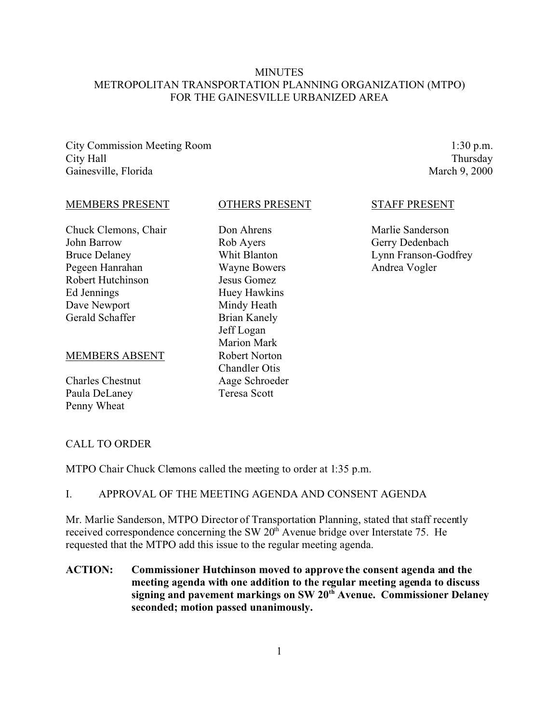## **MINUTES** METROPOLITAN TRANSPORTATION PLANNING ORGANIZATION (MTPO) FOR THE GAINESVILLE URBANIZED AREA

City Commission Meeting Room City Hall Gainesville, Florida

1:30 p.m. Thursday March 9, 2000

#### MEMBERS PRESENT

Chuck Clemons, Chair John Barrow Bruce Delaney Pegeen Hanrahan Robert Hutchinson Ed Jennings Dave Newport Gerald Schaffer

#### MEMBERS ABSENT

Charles Chestnut Paula DeLaney Penny Wheat

#### OTHERS PRESENT

Don Ahrens Rob Ayers Whit Blanton Wayne Bowers Jesus Gomez Huey Hawkins Mindy Heath Brian Kanely Jeff Logan Marion Mark Robert Norton Chandler Otis Aage Schroeder Teresa Scott

#### STAFF PRESENT

Marlie Sanderson Gerry Dedenbach Lynn Franson-Godfrey Andrea Vogler

#### CALL TO ORDER

MTPO Chair Chuck Clemons called the meeting to order at 1:35 p.m.

## I. APPROVAL OF THE MEETING AGENDA AND CONSENT AGENDA

Mr. Marlie Sanderson, MTPO Director of Transportation Planning, stated that staff recently received correspondence concerning the SW 20<sup>th</sup> Avenue bridge over Interstate 75. He requested that the MTPO add this issue to the regular meeting agenda.

## **ACTION: Commissioner Hutchinson moved to approve the consent agenda and the meeting agenda with one addition to the regular meeting agenda to discuss signing and pavement markings on SW 20th Avenue. Commissioner Delaney seconded; motion passed unanimously.**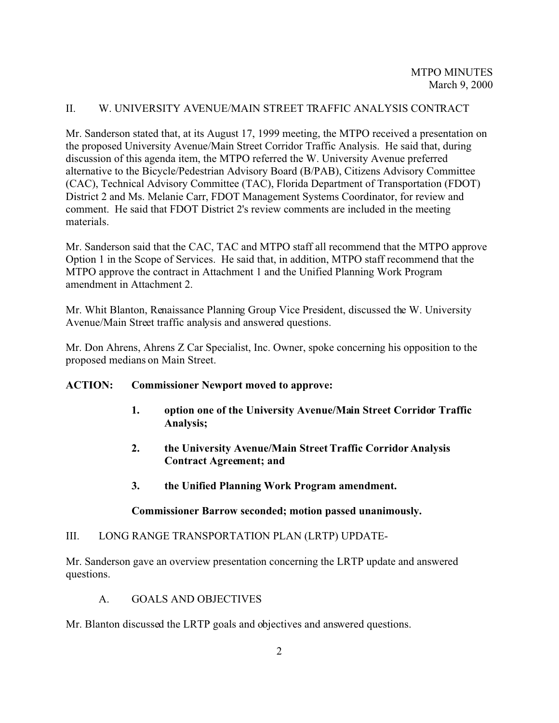## II. W. UNIVERSITY AVENUE/MAIN STREET TRAFFIC ANALYSIS CONTRACT

Mr. Sanderson stated that, at its August 17, 1999 meeting, the MTPO received a presentation on the proposed University Avenue/Main Street Corridor Traffic Analysis. He said that, during discussion of this agenda item, the MTPO referred the W. University Avenue preferred alternative to the Bicycle/Pedestrian Advisory Board (B/PAB), Citizens Advisory Committee (CAC), Technical Advisory Committee (TAC), Florida Department of Transportation (FDOT) District 2 and Ms. Melanie Carr, FDOT Management Systems Coordinator, for review and comment. He said that FDOT District 2's review comments are included in the meeting materials.

Mr. Sanderson said that the CAC, TAC and MTPO staff all recommend that the MTPO approve Option 1 in the Scope of Services. He said that, in addition, MTPO staff recommend that the MTPO approve the contract in Attachment 1 and the Unified Planning Work Program amendment in Attachment 2.

Mr. Whit Blanton, Renaissance Planning Group Vice President, discussed the W. University Avenue/Main Street traffic analysis and answered questions.

Mr. Don Ahrens, Ahrens Z Car Specialist, Inc. Owner, spoke concerning his opposition to the proposed medians on Main Street.

## **ACTION: Commissioner Newport moved to approve:**

- **1. option one of the University Avenue/Main Street Corridor Traffic Analysis;**
- **2. the University Avenue/Main Street Traffic Corridor Analysis Contract Agreement; and**
- **3. the Unified Planning Work Program amendment.**

# **Commissioner Barrow seconded; motion passed unanimously.**

## III. LONG RANGE TRANSPORTATION PLAN (LRTP) UPDATE-

Mr. Sanderson gave an overview presentation concerning the LRTP update and answered questions.

A. GOALS AND OBJECTIVES

Mr. Blanton discussed the LRTP goals and objectives and answered questions.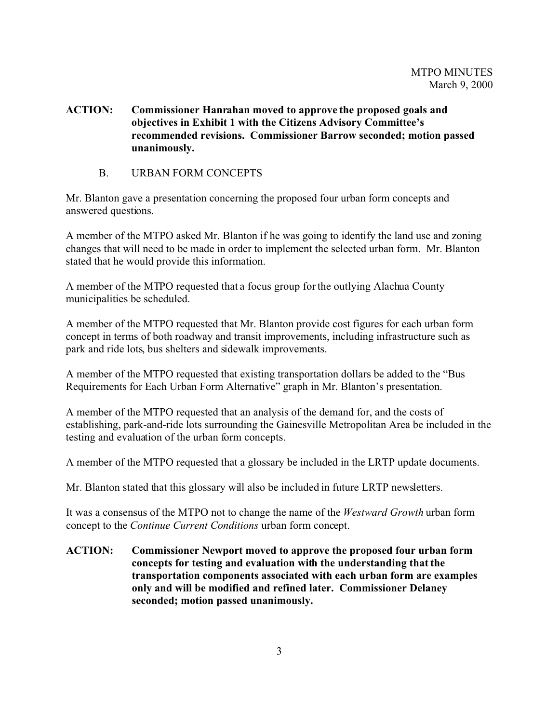## **ACTION: Commissioner Hanrahan moved to approve the proposed goals and objectives in Exhibit 1 with the Citizens Advisory Committee's recommended revisions. Commissioner Barrow seconded; motion passed unanimously.**

B. URBAN FORM CONCEPTS

Mr. Blanton gave a presentation concerning the proposed four urban form concepts and answered questions.

A member of the MTPO asked Mr. Blanton if he was going to identify the land use and zoning changes that will need to be made in order to implement the selected urban form. Mr. Blanton stated that he would provide this information.

A member of the MTPO requested that a focus group for the outlying Alachua County municipalities be scheduled.

A member of the MTPO requested that Mr. Blanton provide cost figures for each urban form concept in terms of both roadway and transit improvements, including infrastructure such as park and ride lots, bus shelters and sidewalk improvements.

A member of the MTPO requested that existing transportation dollars be added to the "Bus Requirements for Each Urban Form Alternative" graph in Mr. Blanton's presentation.

A member of the MTPO requested that an analysis of the demand for, and the costs of establishing, park-and-ride lots surrounding the Gainesville Metropolitan Area be included in the testing and evaluation of the urban form concepts.

A member of the MTPO requested that a glossary be included in the LRTP update documents.

Mr. Blanton stated that this glossary will also be included in future LRTP newsletters.

It was a consensus of the MTPO not to change the name of the *Westward Growth* urban form concept to the *Continue Current Conditions* urban form concept.

**ACTION: Commissioner Newport moved to approve the proposed four urban form concepts for testing and evaluation with the understanding that the transportation components associated with each urban form are examples only and will be modified and refined later. Commissioner Delaney seconded; motion passed unanimously.**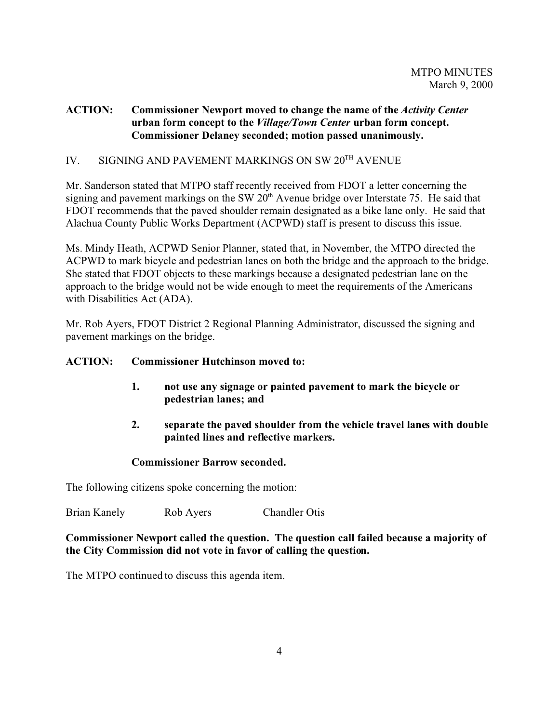## **ACTION: Commissioner Newport moved to change the name of the** *Activity Center* **urban form concept to the** *Village/Town Center* **urban form concept. Commissioner Delaney seconded; motion passed unanimously.**

# IV. SIGNING AND PAVEMENT MARKINGS ON SW 20TH AVENUE

Mr. Sanderson stated that MTPO staff recently received from FDOT a letter concerning the signing and pavement markings on the SW 20<sup>th</sup> Avenue bridge over Interstate 75. He said that FDOT recommends that the paved shoulder remain designated as a bike lane only. He said that Alachua County Public Works Department (ACPWD) staff is present to discuss this issue.

Ms. Mindy Heath, ACPWD Senior Planner, stated that, in November, the MTPO directed the ACPWD to mark bicycle and pedestrian lanes on both the bridge and the approach to the bridge. She stated that FDOT objects to these markings because a designated pedestrian lane on the approach to the bridge would not be wide enough to meet the requirements of the Americans with Disabilities Act (ADA).

Mr. Rob Ayers, FDOT District 2 Regional Planning Administrator, discussed the signing and pavement markings on the bridge.

# **ACTION: Commissioner Hutchinson moved to:**

- **1. not use any signage or painted pavement to mark the bicycle or pedestrian lanes; and**
- **2. separate the paved shoulder from the vehicle travel lanes with double painted lines and reflective markers.**

# **Commissioner Barrow seconded.**

The following citizens spoke concerning the motion:

Brian Kanely Rob Ayers Chandler Otis

## **Commissioner Newport called the question. The question call failed because a majority of the City Commission did not vote in favor of calling the question.**

The MTPO continued to discuss this agenda item.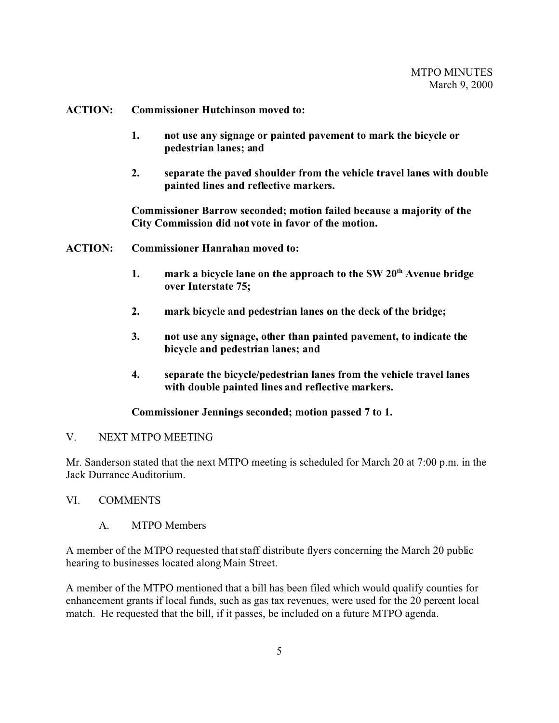#### **ACTION: Commissioner Hutchinson moved to:**

- **1. not use any signage or painted pavement to mark the bicycle or pedestrian lanes; and**
- **2. separate the paved shoulder from the vehicle travel lanes with double painted lines and reflective markers.**

**Commissioner Barrow seconded; motion failed because a majority of the City Commission did not vote in favor of the motion.**

- **ACTION: Commissioner Hanrahan moved to:**
	- **1. mark a bicycle lane on the approach to the SW 20th Avenue bridge over Interstate 75;**
	- **2. mark bicycle and pedestrian lanes on the deck of the bridge;**
	- **3. not use any signage, other than painted pavement, to indicate the bicycle and pedestrian lanes; and**
	- **4. separate the bicycle/pedestrian lanes from the vehicle travel lanes with double painted lines and reflective markers.**

## **Commissioner Jennings seconded; motion passed 7 to 1.**

## V. NEXT MTPO MEETING

Mr. Sanderson stated that the next MTPO meeting is scheduled for March 20 at 7:00 p.m. in the Jack Durrance Auditorium.

## VI. COMMENTS

A. MTPO Members

A member of the MTPO requested that staff distribute flyers concerning the March 20 public hearing to businesses located along Main Street.

A member of the MTPO mentioned that a bill has been filed which would qualify counties for enhancement grants if local funds, such as gas tax revenues, were used for the 20 percent local match. He requested that the bill, if it passes, be included on a future MTPO agenda.